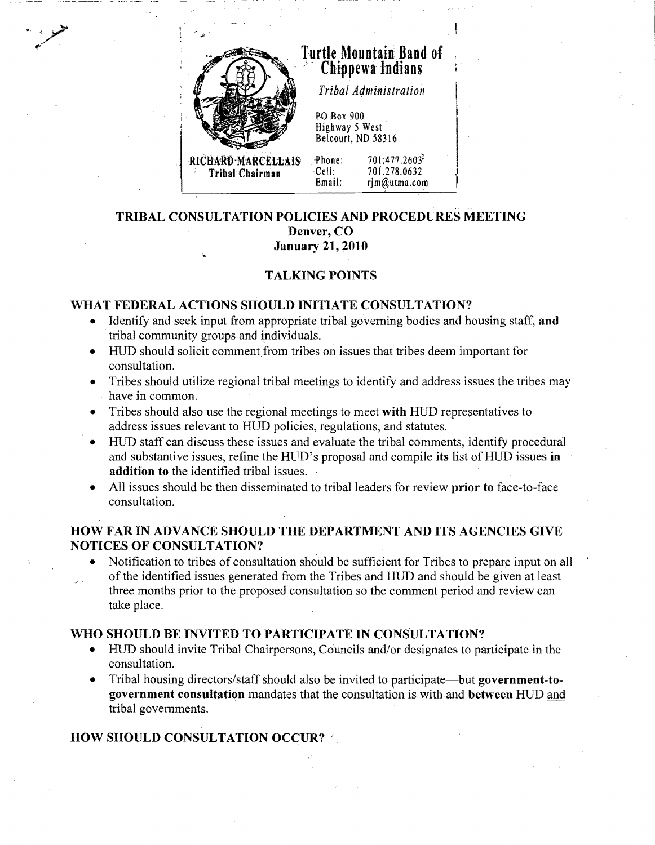

# **T-urtle** Mountain Band **of** , . **Chip,pewa-lndians** <sup>I</sup>

*Tribal Administration* 

PO Box 900 Highway 5 West Belcourt, ND 58316

**Tribal Chairman** 

Phone: 701:477.2603<sup>3</sup><br>Cell: 701.278.0632 Cell: 701.278.0632<br>Email: rim@utma.com rim@utma.com

#### .' . **TRIBAL CONSULTATION POLICIES AND PROCEDURES MEETING Denver, CO January 21, 2010**

# **TALKING POINTS**

## **WHAT FEDERAL ACTIONS SHOULD INITIATE CONSULTATION?**

- Identify and seek input from appropriate tribal governing bodies and housing staff, and tribal community groups and individuals.
- HUD should solicit comment from tribes on issues that tribes deem important for consultation.
- Tribes should utilize regional tribal meetings to identify and address issues the tribes may have in common.
- Tribes should also use the regional meetings to meet with **HUD** representatives to address issues relevant to HUD policies, regulations, and statutes.
- HUD staff can discuss these issues and evaluate the tribal comments, identify procedural and substantive issues, refine the HUD's proposal and compile its list of HUD issues in **addition to** the identified tribal issues.
- All issues should be then disseminated to tribal leaders for review **prior to** face-to-face consultation.

## **HOW FAR IN ADVANCE SHOULD THE DEPARTMENT AND ITS AGENCIES GIVE NOTICES OF CONSULTATION?**

Notification to tribes of consultation should be sufficient for Tribes to prepare input on all of the identified issues generated from the Tribes and HUD and should be given at least three months prior to the proposed consultation so the comment period and review can take place.

#### **WHO SHOULD BE INVITED TO PARTICIPATE IN CONSULTATION?**

- HUD should invite Tribal Chairpersons, Councils and/or designates to participate in the consultation.
- Tribal housing directors/staff should also be invited to participate—but **government-togovernment consultation** mandates that the consultation is with and **between** HUD tribal governments.

## **HOW SHOULD CONSULTATION OCCUR? '**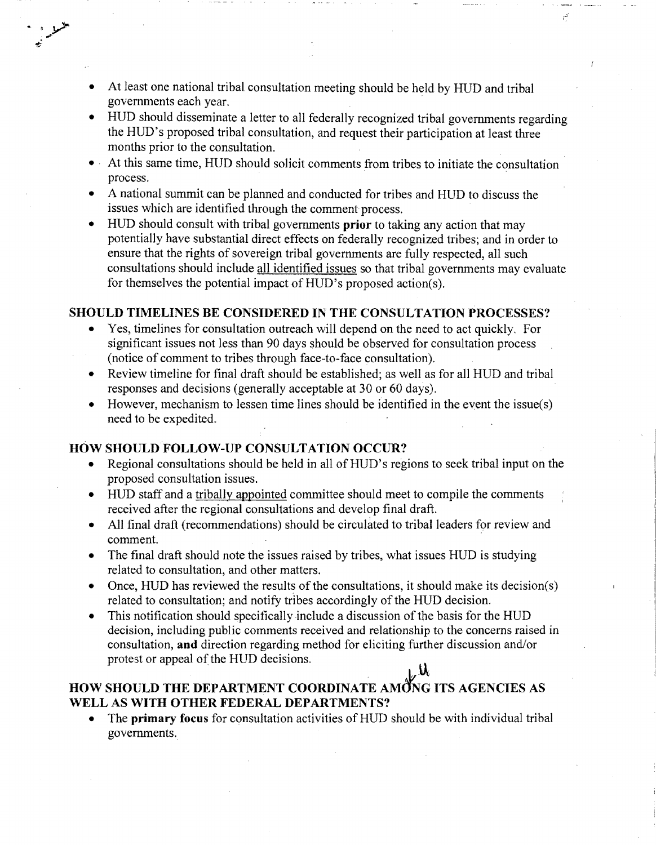- At least one national tribal consultation meeting should be held by HUD and tribal governments each year. .
- HUD should disseminate a letter to all federally recognized tribal governments regarding the HUD's proposed tribal consultation, and request their participation at least three months prior to the consultation. .

أفم

- At this same time, HUD should solicit comments from tribes to initiate the consultation process.
- A national summit can be planned and conducted for tribes and HUD to discuss the issues which are identified through the comment process.
- HUD should consult with tribal governments **prior** to taking any action that may potentially have substantial direct effects on federally recognized tribes; and in order to ensure that the rights of sovereign tribal governments are fully respected, all such consultations should include all identified issues so that tribal governments may evaluate for themselves the potential impact of HUD's proposed action(s).

#### **SHOULD TIMELINES BE CONSIDERED IN THE CONSULTATION PROCESSES?**

- Yes, timelines for consultation outreach will depend on the need to act quickly. For significant issues not less than 90 days should be observed for consultation process (notice of comment to tribes through face-to-face consultation).
- Review time line for final draft should be established; as well as for all HUD and tribal responses and decisions (generally acceptable at 30 or 60 days).
- However, mechanism to lessen time lines should be identified in the event the issue(s) need to be expedited.

#### **HOW** SHOULD FOLLOW-UP **CONSULTATION OCCUR?**

- Regional consultations should be held in all of HUD's regions to seek tribal input on the proposed consultation issues.
- HUD staff and a tribally appointed committee should meet to compile the comments received after the regional consultations and develop final draft.
- All final draft (recommendations) should be circulated to tribal leaders for review and comment.
- The final draft should note the issues raised by tribes, what issues HUD is studying related to consultation, and other matters.
- Once, HUD has reviewed the results of the consultations, it should make its decision(s) related to consultation; and notify tribes accordingly of the HUD decision.
- This notification should specifically include a discussion of the basis for the HUD decision, including public comments received and relationship to the concerns raised in consultation, **and** direction regarding method for eliciting further discussion and/or protest or appeal of the HUD decisions.

# HOW SHOULD THE DEPARTMENT COORDINATE AMONG ITS AGENCIES AS **WELL AS WITH OTHER FEDERAL DEPARTMENTS?**

The **primary focus** for consultation activities of HUD should be with individual tribal governments.